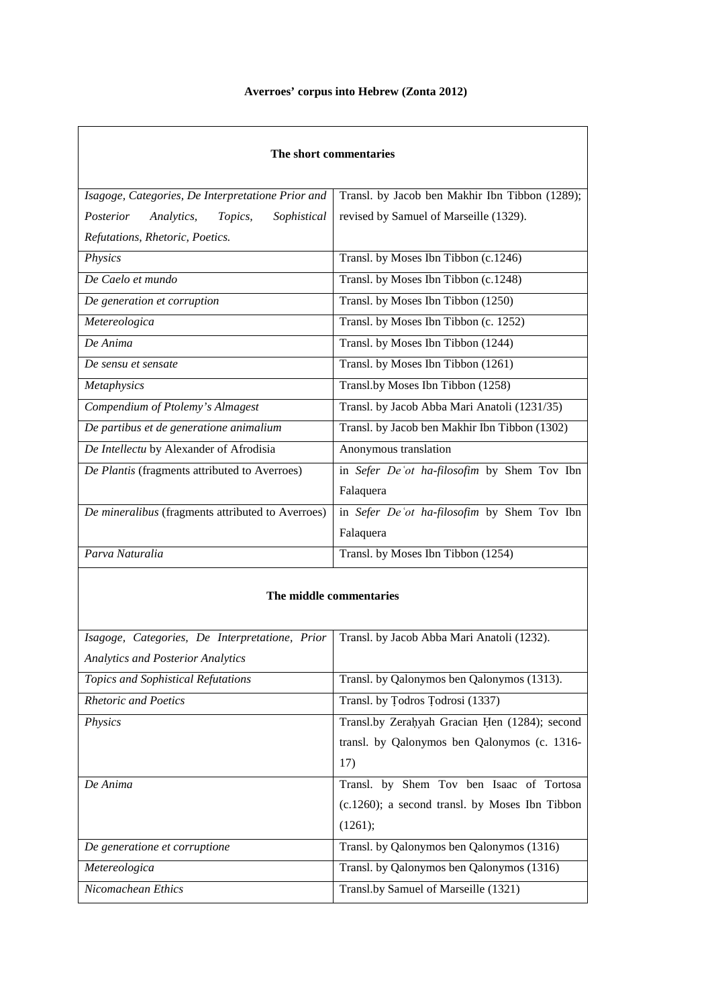## **Averroes' corpus into Hebrew (Zonta 2012)**

| The short commentaries                            |                                                |
|---------------------------------------------------|------------------------------------------------|
| Isagoge, Categories, De Interpretatione Prior and | Transl. by Jacob ben Makhir Ibn Tibbon (1289); |
| Posterior<br>Analytics,<br>Topics,<br>Sophistical | revised by Samuel of Marseille (1329).         |
| Refutations, Rhetoric, Poetics.                   |                                                |
| Physics                                           | Transl. by Moses Ibn Tibbon (c.1246)           |
| De Caelo et mundo                                 | Transl. by Moses Ibn Tibbon (c.1248)           |
| De generation et corruption                       | Transl. by Moses Ibn Tibbon (1250)             |
| Metereologica                                     | Transl. by Moses Ibn Tibbon (c. 1252)          |
| De Anima                                          | Transl. by Moses Ibn Tibbon (1244)             |
| De sensu et sensate                               | Transl. by Moses Ibn Tibbon (1261)             |
| Metaphysics                                       | Transl.by Moses Ibn Tibbon (1258)              |
| Compendium of Ptolemy's Almagest                  | Transl. by Jacob Abba Mari Anatoli (1231/35)   |
| De partibus et de generatione animalium           | Transl. by Jacob ben Makhir Ibn Tibbon (1302)  |
| De Intellectu by Alexander of Afrodisia           | Anonymous translation                          |
| De Plantis (fragments attributed to Averroes)     | in Sefer De'ot ha-filosofim by Shem Tov Ibn    |
|                                                   | Falaquera                                      |
| De mineralibus (fragments attributed to Averroes) | in Sefer De'ot ha-filosofim by Shem Tov Ibn    |
|                                                   | Falaquera                                      |
| Parva Naturalia                                   | Transl. by Moses Ibn Tibbon (1254)             |
| The middle commentaries                           |                                                |
| Isagoge, Categories, De Interpretatione, Prior    | Transl. by Jacob Abba Mari Anatoli (1232).     |
| <b>Analytics and Posterior Analytics</b>          |                                                |
| <b>Topics and Sophistical Refutations</b>         | Transl. by Qalonymos ben Qalonymos (1313).     |
| <b>Rhetoric and Poetics</b>                       | Transl. by Todros Todrosi (1337)               |

| <i>Physics</i>                | Transl.by Zerahyah Gracian Hen (1284); second     |
|-------------------------------|---------------------------------------------------|
|                               | transl. by Qalonymos ben Qalonymos (c. 1316-      |
|                               | 17)                                               |
| De Anima                      | Transl. by Shem Tov ben Isaac of Tortosa          |
|                               | $(c.1260)$ ; a second transl. by Moses Ibn Tibbon |
|                               | (1261);                                           |
| De generatione et corruptione | Transl. by Qalonymos ben Qalonymos (1316)         |
| Metereologica                 | Transl. by Qalonymos ben Qalonymos (1316)         |
| Nicomachean Ethics            | Transl.by Samuel of Marseille (1321)              |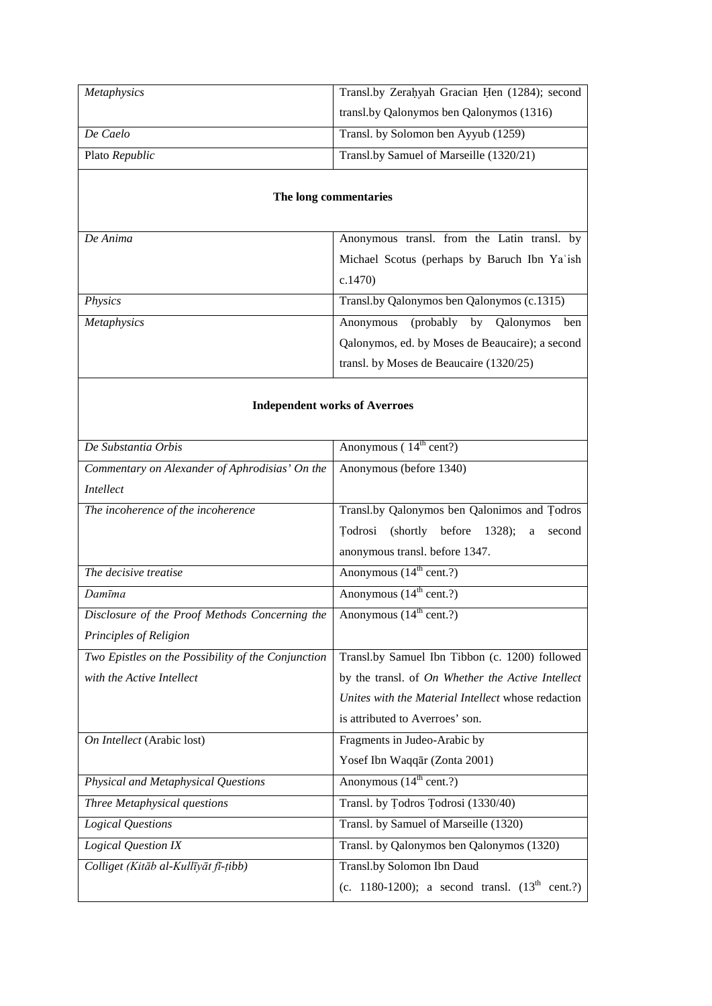| Metaphysics                                        | Transl.by Zerahyah Gracian Hen (1284); second       |  |
|----------------------------------------------------|-----------------------------------------------------|--|
|                                                    | transl.by Qalonymos ben Qalonymos (1316)            |  |
| De Caelo                                           | Transl. by Solomon ben Ayyub (1259)                 |  |
| Plato Republic                                     | Transl.by Samuel of Marseille (1320/21)             |  |
| The long commentaries                              |                                                     |  |
| De Anima                                           | Anonymous transl. from the Latin transl. by         |  |
|                                                    | Michael Scotus (perhaps by Baruch Ibn Ya'ish        |  |
|                                                    | c.1470                                              |  |
| Physics                                            | Transl.by Qalonymos ben Qalonymos (c.1315)          |  |
| Metaphysics                                        | Anonymous (probably by Qalonymos ben                |  |
|                                                    | Qalonymos, ed. by Moses de Beaucaire); a second     |  |
|                                                    | transl. by Moses de Beaucaire (1320/25)             |  |
| <b>Independent works of Averroes</b>               |                                                     |  |
| De Substantia Orbis                                | Anonymous (14 <sup>th</sup> cent?)                  |  |
| Commentary on Alexander of Aphrodisias' On the     | Anonymous (before 1340)                             |  |
| <b>Intellect</b>                                   |                                                     |  |
| The incoherence of the incoherence                 | Transl.by Qalonymos ben Qalonimos and Todros        |  |
|                                                    | Todrosi (shortly before 1328);<br>a<br>second       |  |
|                                                    | anonymous transl. before 1347.                      |  |
| The decisive treatise                              | Anonymous $(14th cent?)$                            |  |
| Damīma                                             | Anonymous $(14th cent?)$                            |  |
| Disclosure of the Proof Methods Concerning the     | Anonymous $(14th cent?)$                            |  |
| Principles of Religion                             |                                                     |  |
| Two Epistles on the Possibility of the Conjunction | Transl.by Samuel Ibn Tibbon (c. 1200) followed      |  |
| with the Active Intellect                          | by the transl. of On Whether the Active Intellect   |  |
|                                                    | Unites with the Material Intellect whose redaction  |  |
|                                                    | is attributed to Averroes' son.                     |  |
| On Intellect (Arabic lost)                         | Fragments in Judeo-Arabic by                        |  |
|                                                    | Yosef Ibn Waqqar (Zonta 2001)                       |  |
| Physical and Metaphysical Questions                | Anonymous (14 <sup>th</sup> cent.?)                 |  |
| Three Metaphysical questions                       | Transl. by Todros Todrosi (1330/40)                 |  |
| Logical Questions                                  | Transl. by Samuel of Marseille (1320)               |  |
| <b>Logical Question IX</b>                         | Transl. by Qalonymos ben Qalonymos (1320)           |  |
| Colliget (Kitāb al-Kullīyāt fī-țibb)               | Transl.by Solomon Ibn Daud                          |  |
|                                                    | (c. 1180-1200); a second transl. $(13^{th}$ cent.?) |  |